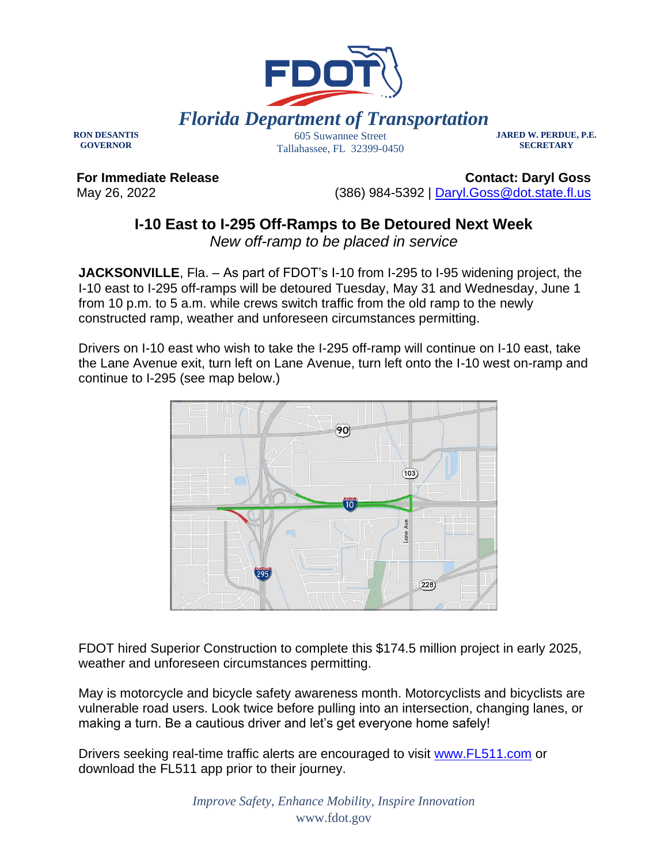

**RON DESANTIS GOVERNOR**

605 Suwannee Street Tallahassee, FL 32399-0450 **JARED W. PERDUE, P.E. SECRETARY**

**For Immediate Release** May 26, 2022

**Contact: Daryl Goss** (386) 984-5392 | [Daryl.Goss@dot.state.fl.us](mailto:Daryl.Goss@dot.state.fl.us)

## **I-10 East to I-295 Off-Ramps to Be Detoured Next Week**

*New off-ramp to be placed in service*

**JACKSONVILLE**, Fla. – As part of FDOT's I-10 from I-295 to I-95 widening project, the I-10 east to I-295 off-ramps will be detoured Tuesday, May 31 and Wednesday, June 1 from 10 p.m. to 5 a.m. while crews switch traffic from the old ramp to the newly constructed ramp, weather and unforeseen circumstances permitting.

Drivers on I-10 east who wish to take the I-295 off-ramp will continue on I-10 east, take the Lane Avenue exit, turn left on Lane Avenue, turn left onto the I-10 west on-ramp and continue to I-295 (see map below.)



FDOT hired Superior Construction to complete this \$174.5 million project in early 2025, weather and unforeseen circumstances permitting.

May is motorcycle and bicycle safety awareness month. Motorcyclists and bicyclists are vulnerable road users. Look twice before pulling into an intersection, changing lanes, or making a turn. Be a cautious driver and let's get everyone home safely!

Drivers seeking real-time traffic alerts are encouraged to visit [www.FL511.com](https://urldefense.com/v3/__http:/www.FL511.com__;!!OepYZ6Q!tcw0MYey6-Hxih8sjNL9KJyiUXniqZyi3mxWHpbg0CoPpAmGSRsoU1J1TN5SsM2zQ84ssQ$) or download the FL511 app prior to their journey.

> *Improve Safety, Enhance Mobility, Inspire Innovation* www.fdot.gov